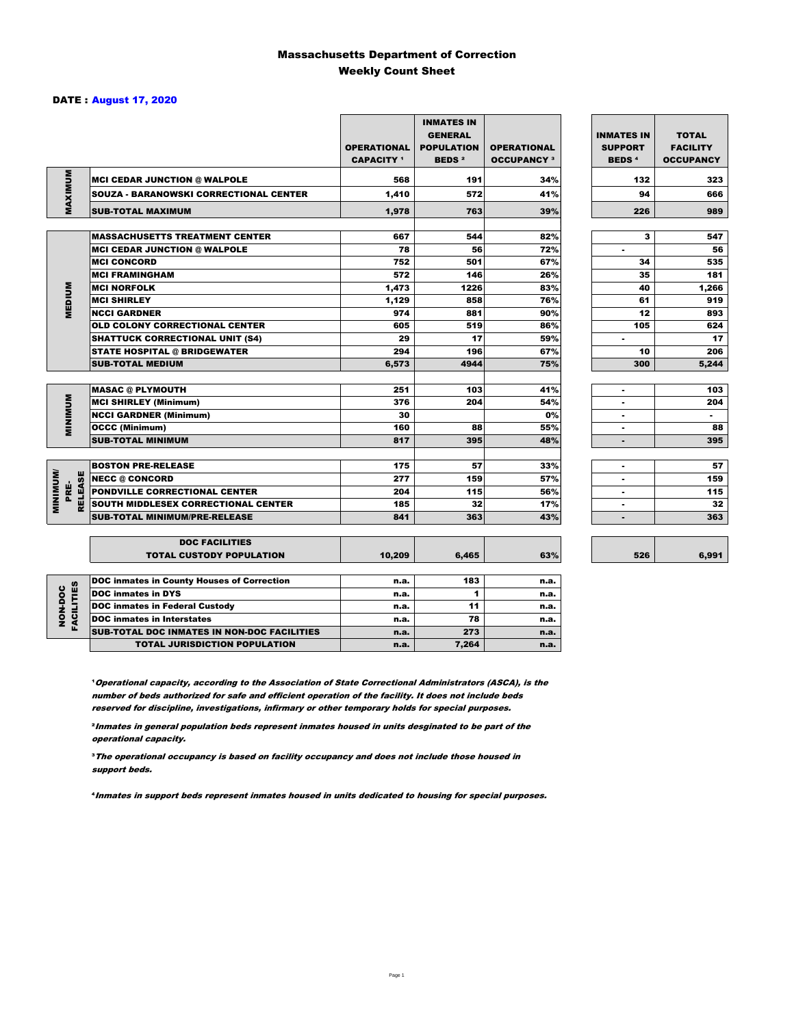### Massachusetts Department of Correction Weekly Count Sheet

### DATE : August 17, 2020

|                                           |                                                          | <b>OPERATIONAL</b><br><b>CAPACITY 1</b> | <b>INMATES IN</b><br><b>GENERAL</b><br><b>POPULATION</b><br><b>BEDS<sup>2</sup></b> | <b>OPERATIONAL</b><br><b>OCCUPANCY 3</b> | <b>INMATES IN</b><br><b>SUPPORT</b><br><b>BEDS<sup>4</sup></b> | <b>TOTAL</b><br><b>FACILITY</b><br><b>OCCUPANCY</b> |
|-------------------------------------------|----------------------------------------------------------|-----------------------------------------|-------------------------------------------------------------------------------------|------------------------------------------|----------------------------------------------------------------|-----------------------------------------------------|
| MAXIMUM                                   | <b>MCI CEDAR JUNCTION @ WALPOLE</b>                      | 568                                     | 191                                                                                 | 34%                                      | 132                                                            | 323                                                 |
|                                           | <b>SOUZA - BARANOWSKI CORRECTIONAL CENTER</b>            | 1,410                                   | 572                                                                                 | 41%                                      | 94                                                             | 666                                                 |
|                                           | <b>SUB-TOTAL MAXIMUM</b>                                 | 1,978                                   | 763                                                                                 | 39%                                      | 226                                                            | 989                                                 |
|                                           | <b>MASSACHUSETTS TREATMENT CENTER</b>                    | 667                                     | 544                                                                                 | 82%                                      | 3                                                              | 547                                                 |
|                                           | <b>MCI CEDAR JUNCTION @ WALPOLE</b>                      | 78                                      | 56                                                                                  | 72%                                      | $\blacksquare$                                                 | 56                                                  |
|                                           | <b>MCI CONCORD</b>                                       | 752                                     | 501                                                                                 | 67%                                      | 34                                                             | 535                                                 |
|                                           | <b>MCI FRAMINGHAM</b>                                    | 572                                     | 146                                                                                 | 26%                                      | 35                                                             | 181                                                 |
|                                           | <b>MCI NORFOLK</b>                                       | 1,473                                   | 1226                                                                                | 83%                                      | 40                                                             | 1,266                                               |
|                                           | <b>MCI SHIRLEY</b>                                       | 1,129                                   | 858                                                                                 | 76%                                      | 61                                                             | 919                                                 |
| <b>MEDIUM</b>                             | <b>NCCI GARDNER</b>                                      | 974                                     | 881                                                                                 | 90%                                      | 12                                                             | 893                                                 |
|                                           | <b>OLD COLONY CORRECTIONAL CENTER</b>                    | 605                                     | 519                                                                                 | 86%                                      | 105                                                            | 624                                                 |
|                                           | <b>SHATTUCK CORRECTIONAL UNIT (S4)</b>                   | 29                                      | 17                                                                                  | 59%                                      | $\overline{\phantom{a}}$                                       | 17                                                  |
|                                           | <b>STATE HOSPITAL @ BRIDGEWATER</b>                      | 294                                     | 196                                                                                 | 67%                                      | 10                                                             | 206                                                 |
|                                           | <b>SUB-TOTAL MEDIUM</b>                                  | 6,573                                   | 4944                                                                                | 75%                                      | 300                                                            | 5,244                                               |
|                                           |                                                          |                                         |                                                                                     |                                          |                                                                |                                                     |
|                                           | <b>MASAC @ PLYMOUTH</b>                                  | 251                                     | 103                                                                                 | 41%                                      |                                                                | 103                                                 |
| <b>MINIMUM</b>                            | <b>MCI SHIRLEY (Minimum)</b>                             | 376                                     | 204                                                                                 | 54%                                      |                                                                | 204                                                 |
|                                           | <b>NCCI GARDNER (Minimum)</b>                            | 30                                      |                                                                                     | 0%                                       | $\blacksquare$                                                 | $\sim$                                              |
|                                           | <b>OCCC (Minimum)</b>                                    | 160                                     | 88                                                                                  | 55%                                      |                                                                | 88                                                  |
|                                           | <b>SUB-TOTAL MINIMUM</b>                                 | 817                                     | 395                                                                                 | 48%                                      |                                                                | 395                                                 |
|                                           |                                                          |                                         |                                                                                     |                                          |                                                                |                                                     |
|                                           | <b>BOSTON PRE-RELEASE</b>                                | 175                                     | 57                                                                                  | 33%                                      | $\overline{\phantom{a}}$                                       | 57                                                  |
|                                           | <b>NECC @ CONCORD</b>                                    | 277                                     | 159                                                                                 | 57%                                      |                                                                | 159                                                 |
| <b>MINIMIMU</b><br><b>RELEASE</b><br>PRE- | <b>PONDVILLE CORRECTIONAL CENTER</b>                     | 204                                     | 115                                                                                 | 56%                                      | $\blacksquare$                                                 | 115                                                 |
|                                           | SOUTH MIDDLESEX CORRECTIONAL CENTER                      | 185                                     | 32                                                                                  | 17%                                      | $\overline{\phantom{a}}$                                       | 32                                                  |
|                                           | <b>SUB-TOTAL MINIMUM/PRE-RELEASE</b>                     | 841                                     | 363                                                                                 | 43%                                      |                                                                | 363                                                 |
|                                           |                                                          |                                         |                                                                                     |                                          |                                                                |                                                     |
|                                           | <b>DOC FACILITIES</b><br><b>TOTAL CUSTODY POPULATION</b> | 10,209                                  | 6,465                                                                               | 63%                                      | 526                                                            | 6,991                                               |
|                                           | <b>DOC inmates in County Houses of Correction</b>        | n.a.                                    | 183                                                                                 | n.a.                                     |                                                                |                                                     |
| FACILITIES                                | <b>DOC inmates in DYS</b>                                | n.a.                                    | $\blacksquare$                                                                      | n.a.                                     |                                                                |                                                     |
| NON-DOC                                   | <b>DOC inmates in Federal Custody</b>                    | n.a.                                    | 11                                                                                  | n.a.                                     |                                                                |                                                     |
|                                           | <b>DOC</b> inmates in Interstates                        | n.a.                                    | 78                                                                                  | n.a.                                     |                                                                |                                                     |
|                                           | CUB TOTAL BOO INIAATEC IN NON-BOO FAQUITIEC              |                                         | $5 - 1$                                                                             |                                          |                                                                |                                                     |

**Operational capacity, according to the Association of State Correctional Administrators (ASCA), is the** number of beds authorized for safe and efficient operation of the facility. It does not include beds reserved for discipline, investigations, infirmary or other temporary holds for special purposes.

SUB-TOTAL DOC INMATES IN NON-DOC FACILITIES n.a. 273 n.a. 273

TOTAL JURISDICTION POPULATION **n.a.** 7,264 n.a.

²Inmates in general population beds represent inmates housed in units desginated to be part of the operational capacity.

³The operational occupancy is based on facility occupancy and does not include those housed in support beds.

⁴Inmates in support beds represent inmates housed in units dedicated to housing for special purposes.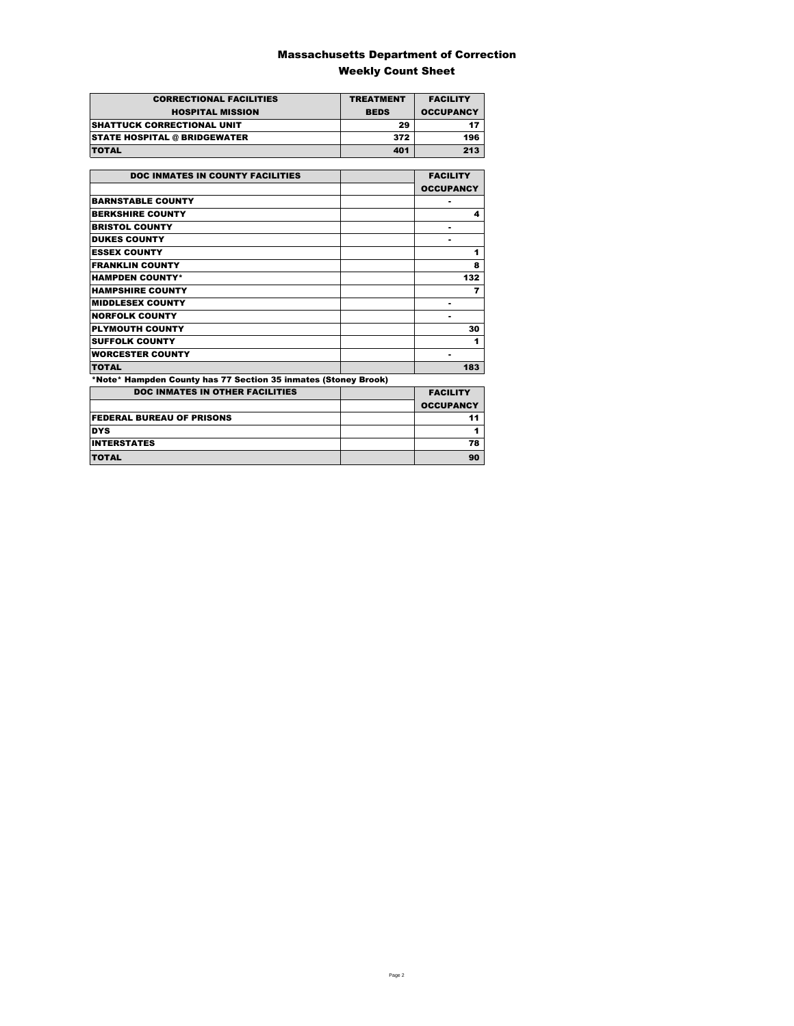### Massachusetts Department of Correction Weekly Count Sheet

| <b>CORRECTIONAL FACILITIES</b>      | <b>TREATMENT</b> | <b>FACILITY</b>  |
|-------------------------------------|------------------|------------------|
| <b>HOSPITAL MISSION</b>             | <b>BEDS</b>      | <b>OCCUPANCY</b> |
| <b>SHATTUCK CORRECTIONAL UNIT</b>   | 29               |                  |
| <b>STATE HOSPITAL @ BRIDGEWATER</b> | 372              | 196              |
| <b>TOTAL</b>                        | 401              | 213              |

| <b>DOC INMATES IN COUNTY FACILITIES</b>                        | <b>FACILITY</b>  |
|----------------------------------------------------------------|------------------|
|                                                                | <b>OCCUPANCY</b> |
| <b>BARNSTABLE COUNTY</b>                                       |                  |
| <b>BERKSHIRE COUNTY</b>                                        | 4                |
| <b>BRISTOL COUNTY</b>                                          |                  |
| <b>DUKES COUNTY</b>                                            |                  |
| <b>ESSEX COUNTY</b>                                            | 1                |
| <b>FRANKLIN COUNTY</b>                                         | 8                |
| <b>HAMPDEN COUNTY*</b>                                         | 132              |
| <b>HAMPSHIRE COUNTY</b>                                        | 7                |
| <b>MIDDLESEX COUNTY</b>                                        | ٠                |
| <b>NORFOLK COUNTY</b>                                          |                  |
| <b>PLYMOUTH COUNTY</b>                                         | 30               |
| <b>SUFFOLK COUNTY</b>                                          | 1                |
| <b>WORCESTER COUNTY</b>                                        | ۰                |
| <b>TOTAL</b>                                                   | 183              |
| *Note* Hampden County has 77 Section 35 inmates (Stoney Brook) |                  |
| <b>DOC INMATES IN OTHER FACILITIES</b>                         | <b>FACILITY</b>  |
|                                                                | <b>OCCUPANCY</b> |
| <b>FEDERAL BUREAU OF PRISONS</b>                               | 11               |
| <b>DYS</b>                                                     | 1                |
| <b>INTERSTATES</b>                                             | 78               |
| <b>TOTAL</b>                                                   | 90               |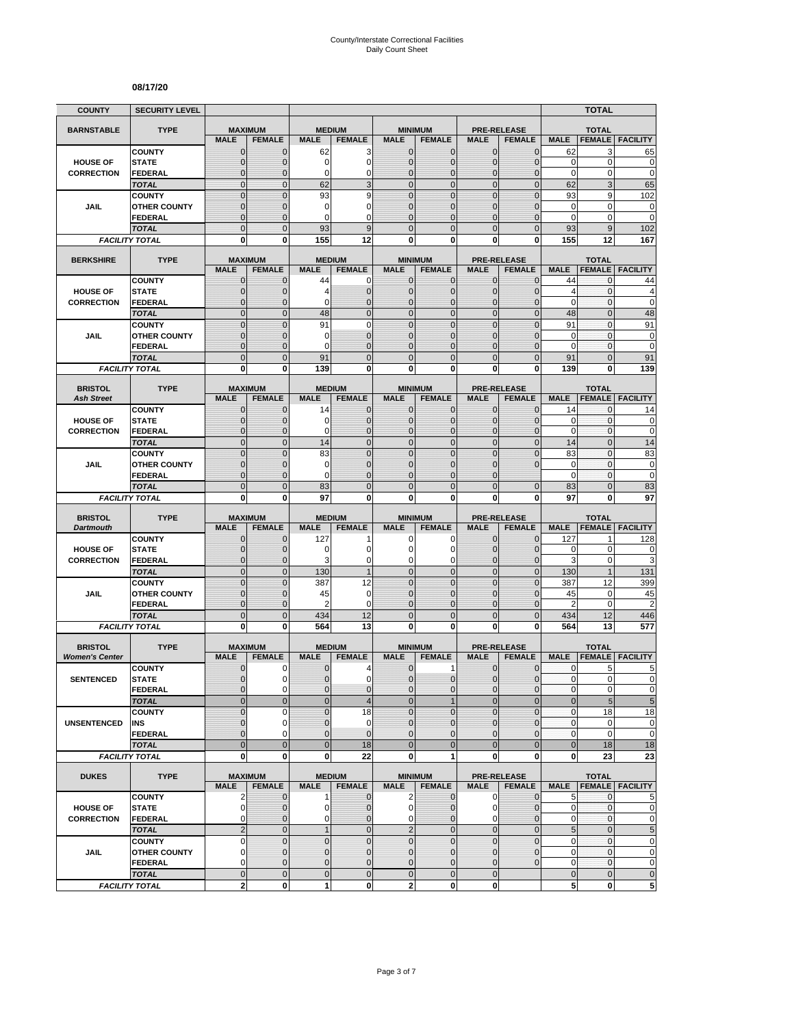#### **08/17/20**

| <b>COUNTY</b>                           | <b>SECURITY LEVEL</b>                 |                                  |                              |                             |                                  |                                |                                  |                                |                                     |                            | <b>TOTAL</b>                     |                             |
|-----------------------------------------|---------------------------------------|----------------------------------|------------------------------|-----------------------------|----------------------------------|--------------------------------|----------------------------------|--------------------------------|-------------------------------------|----------------------------|----------------------------------|-----------------------------|
| <b>BARNSTABLE</b>                       | <b>TYPE</b>                           | <b>MAXIMUM</b>                   |                              | <b>MEDIUM</b>               |                                  |                                | <b>MINIMUM</b>                   |                                | <b>PRE-RELEASE</b>                  |                            | <b>TOTAL</b>                     |                             |
|                                         |                                       | <b>MALE</b>                      | <b>FEMALE</b>                | <b>MALE</b>                 | <b>FEMALE</b>                    | <b>MALE</b>                    | <b>FEMALE</b>                    | <b>MALE</b>                    | <b>FEMALE</b>                       | <b>MALE</b>                | <b>FEMALE</b>                    | <b>FACILITY</b>             |
|                                         | <b>COUNTY</b>                         | $\mathbf 0$                      | $\mathbf{0}$                 | 62                          | 3                                | $\mathbf 0$                    | 0                                | $\mathbf{0}$                   | $\mathbf{0}$                        | 62                         | 3                                | 65                          |
| <b>HOUSE OF</b>                         | <b>STATE</b>                          | $\overline{0}$                   | $\mathbf 0$                  | 0<br>0                      | $\mathbf 0$                      | $\mathbf 0$<br>$\mathbf 0$     | $\overline{0}$                   | $\mathbf{0}$                   | $\overline{0}$                      | $\mathbf 0$<br>$\mathbf 0$ | $\mathbf 0$<br>0                 | $\mathbf 0$<br>$\mathbf 0$  |
| <b>CORRECTION</b>                       | FEDERAL<br><b>TOTAL</b>               | $\mathbf 0$<br>$\mathbf 0$       | $\mathbf{0}$<br>$\mathbf{0}$ | 62                          | 0<br>3                           | $\overline{0}$                 | $\mathbf 0$<br>$\mathbf 0$       | $\mathbf 0$<br>$\mathbf{0}$    | $\overline{0}$<br>$\mathbf 0$       | 62                         | 3                                | 65                          |
|                                         | <b>COUNTY</b>                         | $\mathbf 0$                      | $\mathbf{0}$                 | 93                          | 9                                | $\overline{0}$                 | $\mathbf 0$                      | $\mathbf 0$                    | $\overline{0}$                      | 93                         | 9                                | 102                         |
| JAIL                                    | <b>OTHER COUNTY</b>                   | $\mathbf 0$                      | $\mathbf 0$                  | 0                           | 0                                | $\mathbf{0}$                   | $\overline{0}$                   | $\mathbf 0$                    | $\overline{0}$                      | $\mathbf 0$                | $\mathbf 0$                      | $\mathbf 0$                 |
|                                         | <b>FEDERAL</b>                        | $\overline{0}$                   | $\mathbf{0}$                 | 0                           | $\Omega$                         | $\Omega$                       | $\overline{0}$                   | $\Omega$                       | $\overline{0}$                      | $\mathbf 0$                | 0                                | $\mathbf 0$                 |
|                                         | <b>TOTAL</b>                          | $\overline{0}$                   | $\Omega$                     | 93                          | 9                                | $\Omega$                       | $\overline{0}$                   | $\Omega$                       | $\overline{0}$                      | 93                         | 9                                | 102                         |
|                                         | <b>FACILITY TOTAL</b>                 | 0                                | 0                            | 155                         | 12                               | $\mathbf{0}$                   | 0                                | 0                              | 0                                   | 155                        | 12                               | 167                         |
| <b>BERKSHIRE</b>                        | <b>TYPE</b>                           | <b>MAXIMUM</b>                   |                              |                             | <b>MEDIUM</b>                    |                                | <b>MINIMUM</b>                   |                                | <b>PRE-RELEASE</b>                  |                            | <b>TOTAL</b>                     |                             |
|                                         |                                       | <b>MALE</b>                      | <b>FEMALE</b>                | <b>MALE</b>                 | <b>FEMALE</b>                    | <b>MALE</b>                    | <b>FEMALE</b>                    | <b>MALE</b>                    | <b>FEMALE</b>                       | <b>MALE</b>                | <b>FEMALE</b>                    | <b>FACILITY</b>             |
|                                         | <b>COUNTY</b>                         | $\mathbf{0}$                     | $\mathbf 0$                  | 44                          | 0                                | $\mathbf{0}$                   | $\mathbf 0$                      | $\mathbf{0}$                   | $\mathbf 0$                         | 44                         | 0                                | 44                          |
| <b>HOUSE OF</b>                         | <b>STATE</b>                          | 0                                | $\mathbf{0}$                 | 4                           | $\mathbf 0$                      | $\mathbf{0}$                   | $\mathbf 0$                      | $\mathbf{0}$                   | $\mathbf{0}$                        | $\overline{4}$             | 0                                | 4                           |
| <b>CORRECTION</b>                       | <b>FEDERAL</b><br><b>TOTAL</b>        | $\mathbf 0$<br>$\overline{0}$    | $\mathbf 0$<br>$\mathbf{0}$  | 0<br>48                     | $\overline{0}$<br>$\overline{0}$ | $\mathbf{0}$<br>$\overline{0}$ | $\overline{0}$<br>$\overline{0}$ | $\mathbf{0}$<br>$\mathbf{0}$   | $\overline{0}$<br>$\overline{0}$    | $\mathbf 0$<br>48          | 0<br>$\overline{0}$              | $\mathbf 0$<br>48           |
|                                         | <b>COUNTY</b>                         | $\overline{0}$                   | $\mathbf 0$                  | 91                          | $\overline{0}$                   | $\mathbf 0$                    | $\overline{0}$                   | $\overline{0}$                 | $\overline{0}$                      | 91                         | $\mathbf{0}$                     | 91                          |
| <b>JAIL</b>                             | <b>OTHER COUNTY</b>                   | 0                                | $\mathbf{0}$                 | 0                           | $\overline{0}$                   | $\mathbf{0}$                   | $\overline{0}$                   | $\Omega$                       | $\mathbf{0}$                        | $\mathbf 0$                | $\mathbf{0}$                     | 0                           |
|                                         | <b>FEDERAL</b>                        | $\mathbf 0$                      | $\mathbf{0}$                 | 0                           | $\overline{0}$                   | $\mathbf{0}$                   | $\overline{0}$                   | $\mathbf 0$                    | $\overline{0}$                      | $\mathbf 0$                | $\mathbf{0}$                     | $\mathbf 0$                 |
|                                         | <b>TOTAL</b>                          | $\mathbf 0$                      | $\mathbf{0}$                 | 91                          | $\overline{0}$                   | $\mathbf{0}$                   | $\mathbf 0$                      | $\mathbf{0}$                   | $\mathbf 0$                         | 91                         | $\overline{0}$                   | 91                          |
|                                         | <b>FACILITY TOTAL</b>                 | 0                                | $\mathbf{0}$                 | 139                         | 0                                | 0                              | $\bf{0}$                         | 0                              | 0                                   | 139                        | 0                                | 139                         |
| <b>BRISTOL</b>                          | <b>TYPE</b>                           | <b>MAXIMUM</b>                   |                              |                             | <b>MEDIUM</b>                    |                                | <b>MINIMUM</b>                   |                                | <b>PRE-RELEASE</b>                  |                            | <b>TOTAL</b>                     |                             |
| <b>Ash Street</b>                       |                                       | <b>MALE</b>                      | <b>FEMALE</b>                | <b>MALE</b>                 | <b>FEMALE</b>                    | <b>MALE</b>                    | <b>FEMALE</b>                    | <b>MALE</b>                    | <b>FEMALE</b>                       | <b>MALE</b>                | <b>FEMALE</b>                    | <b>FACILITY</b>             |
|                                         | <b>COUNTY</b>                         | 0                                | $\mathbf{0}$                 | 14                          | $\mathbf 0$                      | $\mathbf 0$                    | 0                                | $\mathbf{0}$                   | $\mathbf{0}$                        | 14                         | 0                                | 14                          |
| <b>HOUSE OF</b>                         | <b>STATE</b>                          | $\mathbf{0}$                     | $\mathbf{0}$                 | 0                           | $\mathbf 0$                      | $\mathbf{0}$                   | $\mathbf{0}$                     | $\mathbf{0}$                   | $\mathbf{0}$                        | 0                          | 0                                | 0                           |
| <b>CORRECTION</b>                       | <b>FEDERAL</b>                        | $\mathbf{0}$                     | $\mathbf{0}$                 | 0                           | $\overline{0}$                   | $\mathbf{0}$                   | $\overline{0}$                   | $\mathbf{0}$                   | $\overline{0}$                      | $\mathbf 0$                | 0                                | $\mathbf 0$                 |
|                                         | <b>TOTAL</b>                          | $\overline{0}$<br>$\overline{0}$ | $\mathbf{0}$<br>$\Omega$     | 14<br>83                    | $\overline{0}$<br>$\overline{0}$ | $\mathbf 0$<br>$\mathbf 0$     | $\overline{0}$<br>$\overline{0}$ | $\mathbf{0}$<br>$\overline{0}$ | $\overline{0}$<br>$\overline{0}$    | 14<br>83                   | $\overline{0}$<br>$\overline{0}$ | 14                          |
| JAIL                                    | <b>COUNTY</b><br><b>OTHER COUNTY</b>  | $\mathbf 0$                      | $\mathbf 0$                  | 0                           | $\overline{0}$                   | $\mathbf{0}$                   | $\overline{0}$                   | $\mathbf 0$                    | $\overline{0}$                      | $\mathbf 0$                | $\mathbf{0}$                     | 83<br>$\mathbf 0$           |
|                                         | FEDERAL                               | $\overline{0}$                   | $\mathbf{0}$                 | 0                           | $\overline{0}$                   | $\Omega$                       | $\overline{0}$                   | $\Omega$                       |                                     | $\mathbf 0$                | 0                                | $\mathbf 0$                 |
|                                         | <b>TOTAL</b>                          | $\overline{0}$                   | $\mathbf{0}$                 | 83                          | $\overline{0}$                   | $\overline{0}$                 | $\overline{0}$                   | $\overline{0}$                 | $\mathbf{0}$                        | 83                         | $\overline{0}$                   | 83                          |
|                                         | <b>FACILITY TOTAL</b>                 | 0                                | 0                            | 97                          | 0                                | 0                              | $\bf{0}$                         | 0                              | 0                                   | 97                         | 0                                | 97                          |
|                                         |                                       |                                  |                              |                             |                                  |                                |                                  |                                |                                     |                            |                                  |                             |
| <b>BRISTOL</b><br><b>Dartmouth</b>      | <b>TYPE</b>                           | <b>MAXIMUM</b><br><b>MALE</b>    | <b>FEMALE</b>                | <b>MALE</b>                 | <b>MEDIUM</b><br><b>FEMALE</b>   | <b>MALE</b>                    | <b>MINIMUM</b><br><b>FEMALE</b>  | <b>MALE</b>                    | <b>PRE-RELEASE</b><br><b>FEMALE</b> | <b>MALE</b>                | <b>TOTAL</b><br><b>FEMALE</b>    | <b>FACILITY</b>             |
|                                         | <b>COUNTY</b>                         | $\mathbf 0$                      | $\mathbf 0$                  | 127                         |                                  | 0                              | 0                                | $\mathbf 0$                    | $\overline{0}$                      | 127                        | 1                                | 128                         |
| <b>HOUSE OF</b>                         | <b>STATE</b>                          | $\mathbf 0$                      | $\mathbf{0}$                 | 0                           | 0                                | $\Omega$                       | 0                                | $\Omega$                       | $\mathbf{0}$                        | 0                          | $\mathbf 0$                      | 0                           |
| <b>CORRECTION</b>                       | <b>FEDERAL</b>                        | $\mathbf 0$                      | $\mathbf{0}$                 | 3                           | 0                                | $\mathbf 0$                    | 0                                | $\mathbf 0$                    | $\mathbf{0}$                        | 3                          | 0                                | 3                           |
|                                         | <b>TOTAL</b>                          | $\mathbf 0$                      | $\mathbf{0}$                 | 130                         | $\overline{1}$                   | $\overline{0}$                 | $\mathbf 0$                      | $\mathbf{0}$                   | $\overline{0}$                      | 130                        | $\mathbf{1}$                     | 131                         |
| JAIL                                    | <b>COUNTY</b><br><b>OTHER COUNTY</b>  | $\mathbf 0$<br>$\overline{0}$    | $\mathbf{0}$<br>$\mathbf{0}$ | 387<br>45                   | 12<br>$\mathbf 0$                | $\mathbf{0}$<br>$\mathbf{0}$   | $\mathbf 0$<br>$\overline{0}$    | $\mathbf{0}$<br>$\Omega$       | $\mathbf 0$<br>$\overline{0}$       | 387<br>45                  | 12<br>0                          | 399<br>45                   |
|                                         | FEDERAL                               | $\mathbf 0$                      | $\mathbf{0}$                 | 2                           | 0                                | $\mathbf{0}$                   | 0                                | $\mathbf{0}$                   | $\mathbf 0$                         | $\overline{2}$             | $\mathbf 0$                      | $\overline{c}$              |
|                                         | <b>TOTAL</b>                          | $\mathbf 0$                      | $\overline{0}$               | 434                         | 12                               | $\mathbf 0$                    | $\mathbf 0$                      | $\overline{0}$                 | $\mathbf 0$                         | 434                        | 12                               | 446                         |
|                                         | <b>FACILITY TOTAL</b>                 | $\mathbf 0$                      | $\mathbf{0}$                 | 564                         | 13                               | $\mathbf{0}$                   | $\bf{0}$                         | 0                              | 0                                   | 564                        | 13                               | 577                         |
|                                         |                                       |                                  |                              |                             |                                  |                                |                                  |                                |                                     |                            |                                  |                             |
| <b>BRISTOL</b><br><b>Women's Center</b> | <b>TYPE</b>                           | <b>MAXIMUM</b><br><b>MALE</b>    | <b>FEMALE</b>                | <b>MALE</b>                 | <b>MEDIUM</b><br><b>FEMALE</b>   | <b>MALE</b>                    | <b>MINIMUM</b><br><b>FEMALE</b>  | <b>MALE</b>                    | <b>PRE-RELEASE</b><br><b>FEMALE</b> | <b>MALE</b>                | <b>TOTAL</b><br><b>FEMALE</b>    | <b>FACILITY</b>             |
|                                         | <b>COUNTY</b>                         | 0                                | 0                            | 0                           | 4                                | $\mathbf 0$                    | 1                                | 0                              | $\mathbf 0$                         | 0                          | 5                                | 5                           |
| <b>SENTENCED</b>                        | <b>STATE</b>                          | $\overline{0}$                   | $\Omega$                     | $\overline{0}$              | $\mathbf 0$                      | $\overline{0}$                 | $\mathbf 0$                      | $\mathbf{0}$                   | $\mathbf{0}$                        | $\mathbf{0}$               | $\overline{0}$                   | 0                           |
|                                         | <b>FEDERAL</b>                        | 0                                | $\mathbf 0$                  | 0                           | $\mathbf 0$                      | $\mathbf{0}$                   | $\mathbf{0}$                     | $\mathbf 0$                    | $\mathbf 0$                         | $\pmb{0}$                  | 0                                | $\pmb{0}$                   |
|                                         | <b>TOTAL</b>                          | $\mathbf 0$                      | $\mathbf{0}$                 | $\overline{0}$              | $\overline{\mathcal{A}}$         | $\mathbf{0}$                   | $\mathbf{1}$                     | $\mathbf{0}$                   | $\overline{0}$                      | $\bf 0$                    | $\overline{5}$                   | $\overline{5}$              |
|                                         | <b>COUNTY</b>                         | $\mathbf 0$                      | $\mathbf 0$                  | $\overline{0}$              | 18                               | $\Omega$                       | $\overline{0}$                   | $\mathbf 0$                    | $\overline{0}$                      | $\pmb{0}$                  | 18                               | 18                          |
| <b>UNSENTENCED</b>                      | INS<br><b>FEDERAL</b>                 | 0<br>$\overline{0}$              | $\mathbf 0$<br>$\Omega$      | $\pmb{0}$<br>$\overline{0}$ | 0<br>$\overline{0}$              | $\mathbf 0$<br>$\mathbf{0}$    | 0<br>$\overline{0}$              | $\mathbf{0}$<br>$\mathbf 0$    | $\mathbf{0}$<br>$\overline{0}$      | $\pmb{0}$<br>$\pmb{0}$     | 0<br>0                           | $\pmb{0}$<br>$\mathbf 0$    |
|                                         | <b>TOTAL</b>                          | $\overline{0}$                   | $\overline{0}$               | $\mathbf 0$                 | 18                               | $\overline{0}$                 | $\overline{0}$                   | $\overline{0}$                 | $\overline{0}$                      | $\bf 0$                    | 18                               | 18                          |
|                                         | <b>FACILITY TOTAL</b>                 | $\mathbf 0$                      | $\mathbf{0}$                 | 0                           | 22                               | $\mathbf{0}$                   | 1                                | $\mathbf 0$                    | 0                                   | 0                          | 23                               | 23                          |
|                                         |                                       |                                  |                              |                             |                                  |                                |                                  |                                |                                     |                            |                                  |                             |
| <b>DUKES</b>                            | <b>TYPE</b>                           | <b>MAXIMUM</b><br><b>MALE</b>    | <b>FEMALE</b>                | <b>MALE</b>                 | <b>MEDIUM</b><br><b>FEMALE</b>   | <b>MALE</b>                    | <b>MINIMUM</b><br><b>FEMALE</b>  | <b>MALE</b>                    | <b>PRE-RELEASE</b><br><b>FEMALE</b> |                            | <b>TOTAL</b>                     | <b>MALE FEMALE FACILITY</b> |
|                                         | <b>COUNTY</b>                         | $\overline{2}$                   | $\mathbf{0}$                 | 1                           | $\mathbf 0$                      | $\overline{2}$                 | $\mathbf 0$                      | $\mathbf 0$                    | $\mathbf 0$                         | 5                          | $\mathbf{0}$                     | 5                           |
| <b>HOUSE OF</b>                         | <b>STATE</b>                          | $\mathbf 0$                      | 0                            | 0                           | $\overline{0}$                   | $\overline{0}$                 | 0                                | 0                              | $\mathbf 0$                         | 0                          | 0                                | $\mathbf 0$                 |
| <b>CORRECTION</b>                       | <b>FEDERAL</b>                        | 0                                | $\mathbf{0}$                 | 0                           | $\mathbf 0$                      | $\overline{0}$                 | $\overline{0}$                   | $\mathbf 0$                    | $\overline{0}$                      | 0                          | 0                                | $\pmb{0}$                   |
|                                         | <b>TOTAL</b>                          | $\overline{2}$                   | $\mathbf 0$                  | $\mathbf{1}$                | $\mathbf 0$                      | $\overline{2}$                 | $\mathbf 0$                      | $\mathbf 0$                    | $\overline{0}$                      | 5                          | $\mathbf 0$                      | $\overline{5}$              |
|                                         | <b>COUNTY</b>                         | 0                                | $\mathbf{0}$                 | $\pmb{0}$                   | $\mathbf 0$                      | $\mathbf 0$                    | $\mathbf 0$                      | $\mathbf 0$                    | $\mathbf 0$                         | 0                          | $\pmb{0}$                        | $\pmb{0}$                   |
| JAIL                                    | <b>OTHER COUNTY</b><br><b>FEDERAL</b> | $\overline{0}$<br>0              | $\mathbf{0}$<br>$\mathbf 0$  | $\mathbf{0}$<br>0           | $\overline{0}$<br>0              | $\mathbf{0}$<br>$\mathbf 0$    | $\mathbf 0$<br>0                 | $\mathbf{0}$<br>$\mathbf 0$    | $\overline{0}$<br>$\mathbf 0$       | $\mathbf 0$<br>0           | $\overline{0}$<br>$\pmb{0}$      | $\pmb{0}$<br>$\pmb{0}$      |
|                                         | <b>TOTAL</b>                          | $\mathbf 0$                      | $\mathbf{0}$                 | $\pmb{0}$                   | $\mathbf 0$                      | $\mathbf 0$                    | $\mathbf 0$                      | $\mathbf{0}$                   |                                     | $\pmb{0}$                  | $\mathbf 0$                      | $\pmb{0}$                   |
|                                         | <b>FACILITY TOTAL</b>                 | $\overline{a}$                   | $\mathbf 0$                  | 1                           | $\mathbf{0}$                     | $\mathbf{2}$                   | $\mathbf{0}$                     | $\mathbf{0}$                   |                                     | 5                          | 0                                | 5                           |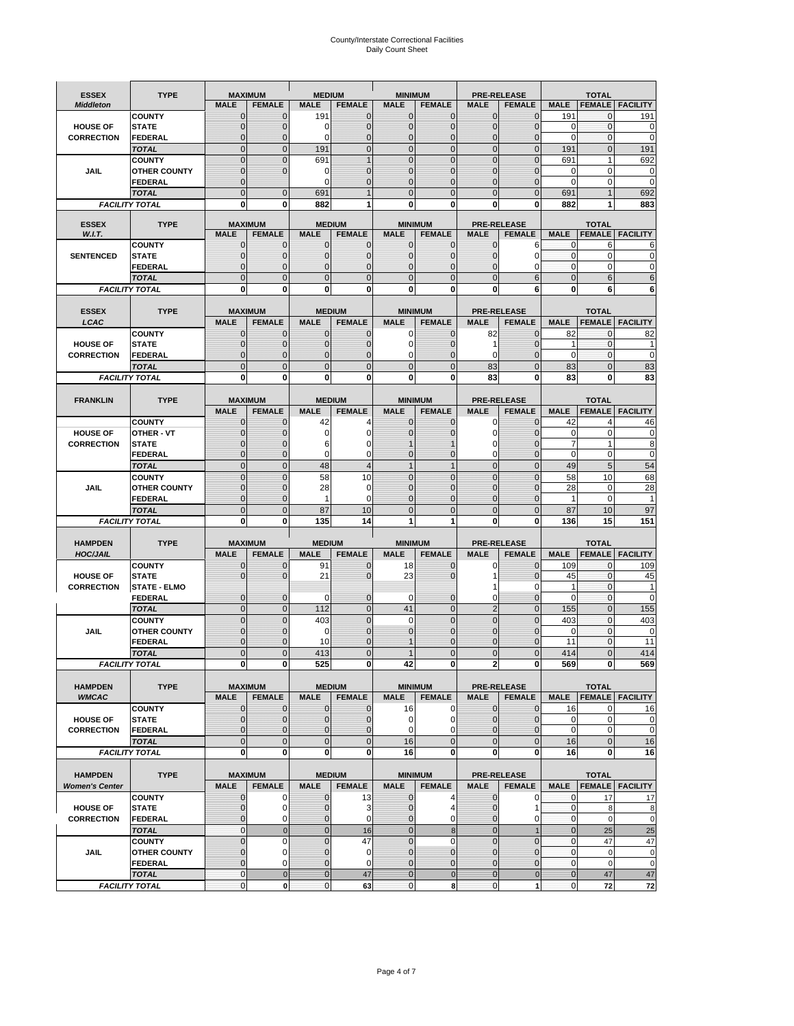# County/Interstate Correctional Facilities Daily Count Sheet

| <b>ESSEX</b>                         | <b>TYPE</b>                           |                                  | <b>MAXIMUM</b>                | <b>MEDIUM</b>                  |                               | <b>MINIMUM</b>               |                                  |                               | <b>PRE-RELEASE</b>            |                               | <b>TOTAL</b>                 |                                 |
|--------------------------------------|---------------------------------------|----------------------------------|-------------------------------|--------------------------------|-------------------------------|------------------------------|----------------------------------|-------------------------------|-------------------------------|-------------------------------|------------------------------|---------------------------------|
| <b>Middleton</b>                     |                                       | <b>MALE</b>                      | <b>FEMALE</b>                 | <b>MALE</b>                    | <b>FEMALE</b>                 | <b>MALE</b>                  | <b>FEMALE</b>                    | <b>MALE</b>                   | <b>FEMALE</b>                 | <b>MALE</b>                   |                              | <b>FEMALE FACILITY</b>          |
|                                      | <b>COUNTY</b>                         | 0                                | $\mathbf 0$                   | 191                            | 0                             | $\mathbf{0}$                 | $\mathbf{0}$                     | $\mathbf{0}$                  | $\Omega$                      | 191                           | 0                            | 191                             |
| <b>HOUSE OF</b>                      | <b>STATE</b>                          | 0                                | $\mathbf 0$                   | 0                              | 0                             | $\mathbf 0$                  | $\mathbf{0}$                     | $\mathbf{0}$                  | $\Omega$                      | $\Omega$                      | $\mathbf{0}$                 | 0                               |
| <b>CORRECTION</b>                    | <b>FEDERAL</b>                        | $\Omega$<br>$\mathbf 0$          | $\mathbf 0$<br>$\overline{0}$ | $\Omega$                       | $\overline{0}$<br>$\mathbf 0$ | $\mathbf{0}$<br>$\mathbf{0}$ | $\mathbf{0}$<br>$\mathbf{0}$     | $\mathbf{0}$<br>$\mathbf 0$   | $\Omega$<br>$\overline{0}$    | $\Omega$                      | $\mathbf{0}$<br>$\mathbf{0}$ | $\mathbf 0$<br>191              |
|                                      | <b>TOTAL</b><br><b>COUNTY</b>         | $\mathbf 0$                      | $\mathbf{0}$                  | 191<br>691                     | $\overline{1}$                | $\mathbf{0}$                 | $\mathbf 0$                      | $\mathbf{0}$                  | $\overline{0}$                | 191<br>691                    | $\mathbf{1}$                 | 692                             |
| JAIL                                 | <b>OTHER COUNTY</b>                   | $\mathbf{0}$                     | $\mathbf 0$                   | 0                              | 0                             | $\mathbf{0}$                 | $\Omega$                         | $\mathbf{0}$                  | ſ                             | $\Omega$                      | $\Omega$                     | 0                               |
|                                      | <b>FEDERAL</b>                        | $\mathbf{0}$                     |                               | $\Omega$                       | 0                             | $\mathbf 0$                  | $\mathbf 0$                      | $\mathbf{0}$                  | $\mathbf 0$                   | $\mathbf 0$                   | 0                            | $\mathbf 0$                     |
|                                      | <b>TOTAL</b>                          | $\Omega$                         | $\overline{0}$                | 691                            | $\overline{1}$                | $\mathbf{0}$                 | $\Omega$                         | $\overline{0}$                | $\Omega$                      | 691                           |                              | 692                             |
|                                      | <b>FACILITY TOTAL</b>                 | 0                                | 0                             | 882                            | 1                             | $\bf{0}$                     | 0                                | 0                             | 0                             | 882                           |                              | 883                             |
| <b>ESSEX</b>                         | <b>TYPE</b>                           |                                  | <b>MAXIMUM</b>                |                                | <b>MEDIUM</b>                 |                              | <b>MINIMUM</b>                   |                               | <b>PRE-RELEASE</b>            |                               | <b>TOTAL</b>                 |                                 |
| W.I.T.                               |                                       | <b>MALE</b>                      | <b>FEMALE</b>                 | <b>MALE</b>                    | <b>FEMALE</b>                 | <b>MALE</b>                  | <b>FEMALE</b>                    | <b>MALE</b>                   | <b>FEMALE</b>                 | <b>MALE</b>                   | <b>FEMALE</b>                | <b>FACILITY</b>                 |
|                                      | <b>COUNTY</b>                         | $\mathbf{0}$                     | 0                             | $\mathbf 0$                    | $\mathbf{0}$                  | $\mathbf{0}$                 | $\mathbf{0}$                     | $\mathbf{0}$                  | 6                             | 0                             | 6                            | 6                               |
| <b>SENTENCED</b>                     | <b>STATE</b>                          | 0                                | $\overline{0}$                | $\mathbf{0}$                   | 0                             | $\mathbf{0}$                 | $\mathbf{0}$                     | $\mathbf 0$                   | 0                             | $\mathbf 0$                   | $\mathbf 0$                  | 0                               |
|                                      | <b>FEDERAL</b><br><b>TOTAL</b>        | $\overline{0}$<br>$\overline{0}$ | $\mathbf 0$<br>$\overline{0}$ | $\Omega$<br>$\mathbf 0$        | 0<br>$\overline{0}$           | $\mathbf{0}$<br>$\mathbf{0}$ | $\Omega$<br>$\overline{0}$       | $\mathbf 0$<br>$\overline{0}$ | 0<br>6                        | $\Omega$<br>$\mathbf{0}$      | $\mathbf 0$<br>6             | 0<br>6                          |
|                                      | <b>FACILITY TOTAL</b>                 | $\mathbf{0}$                     | 0                             | $\bf{0}$                       | O                             | $\bf{0}$                     | 0                                | 0                             | 6                             | $\bf{0}$                      | 6                            | 6                               |
|                                      |                                       |                                  |                               |                                |                               |                              |                                  |                               |                               |                               |                              |                                 |
| <b>ESSEX</b>                         | <b>TYPE</b>                           |                                  | <b>MAXIMUM</b>                |                                | <b>MEDIUM</b>                 |                              | <b>MINIMUM</b>                   |                               | <b>PRE-RELEASE</b>            |                               | <b>TOTAL</b>                 |                                 |
| LCAC                                 |                                       | <b>MALE</b>                      | <b>FEMALE</b>                 | <b>MALE</b>                    | <b>FEMALE</b>                 | <b>MALE</b>                  | <b>FEMALE</b>                    | <b>MALE</b>                   | <b>FEMALE</b>                 | <b>MALE</b>                   | <b>FEMALE</b>                | <b>FACILITY</b>                 |
|                                      | <b>COUNTY</b>                         | 0                                | $\mathbf 0$                   | $\mathbf{0}$                   | 0                             | $\mathbf 0$                  | $\mathbf{0}$                     | 82                            | $\Omega$                      | 82                            | $\mathbf 0$                  | 82                              |
| <b>HOUSE OF</b>                      | <b>STATE</b>                          | $\Omega$                         | $\mathbf 0$<br>$\overline{0}$ | $\Omega$                       | 0<br>0                        | $\Omega$<br>$\mathbf 0$      | $\Omega$                         | 1<br>$\mathbf 0$              | $\sqrt{ }$<br>$\mathcal{C}$   | 1<br>$\mathbf 0$              | $\Omega$<br>$\mathbf{0}$     |                                 |
| <b>CORRECTION</b>                    | <b>FEDERAL</b><br><b>TOTAL</b>        | 0<br>$\overline{0}$              | $\overline{0}$                | $\mathbf{0}$<br>$\overline{0}$ | $\overline{0}$                | $\mathbf 0$                  | $\overline{0}$<br>$\overline{0}$ | 83                            | $\overline{0}$                | 83                            | $\Omega$                     | $\mathbf 0$<br>83               |
|                                      | <b>FACILITY TOTAL</b>                 | 0                                | 0                             | 0                              | 0                             | $\bf{0}$                     | 0                                | 83                            | 0                             | 83                            | 0                            | 83                              |
|                                      |                                       |                                  |                               |                                |                               |                              |                                  |                               |                               |                               |                              |                                 |
| <b>FRANKLIN</b>                      | <b>TYPE</b>                           |                                  | <b>MAXIMUM</b>                |                                | <b>MEDIUM</b>                 |                              | <b>MINIMUM</b>                   |                               | <b>PRE-RELEASE</b>            |                               | <b>TOTAL</b>                 |                                 |
|                                      |                                       | <b>MALE</b>                      | <b>FEMALE</b>                 | <b>MALE</b>                    | <b>FEMALE</b>                 | <b>MALE</b>                  | <b>FEMALE</b>                    | <b>MALE</b>                   | <b>FEMALE</b>                 | <b>MALE</b>                   | <b>FEMALE</b>                | <b>FACILITY</b>                 |
|                                      | <b>COUNTY</b>                         | 0                                | 0                             | 42                             | Δ                             | $\mathbf{0}$                 | 0                                | 0                             | $\Omega$                      | 42                            | Δ                            | 46                              |
| <b>HOUSE OF</b><br><b>CORRECTION</b> | <b>OTHER - VT</b><br><b>STATE</b>     | 0<br>0                           | $\overline{0}$<br>$\mathbf 0$ | 0<br>6                         | 0<br>0                        | $\mathbf 0$                  | $\Omega$                         | $\mathbf 0$<br>0              | $\mathcal{C}$<br>$\sqrt{ }$   | $\mathbf 0$<br>$\overline{7}$ | $\mathbf 0$<br>$\mathbf{1}$  | 0<br>8                          |
|                                      | <b>FEDERAL</b>                        | $\mathbf{0}$                     | $\overline{0}$                | $\Omega$                       | 0                             | $\mathbf{0}$                 | $\mathbf{0}$                     | 0                             | $\overline{0}$                | $\mathbf 0$                   | $\mathbf 0$                  | $\mathbf 0$                     |
|                                      | <b>TOTAL</b>                          | $\mathbf 0$                      | $\mathbf{0}$                  | 48                             | 4                             | $\mathbf{1}$                 | $\mathbf{1}$                     | $\overline{0}$                | $\overline{0}$                | 49                            | 5                            | 54                              |
|                                      | <b>COUNTY</b>                         | $\mathbf 0$                      | $\mathbf 0$                   | 58                             | 10                            | $\mathbf 0$                  | $\mathbf 0$                      | $\mathbf{0}$                  | $\overline{0}$                | 58                            | 10                           | 68                              |
| <b>JAIL</b>                          | <b>OTHER COUNTY</b>                   | $\overline{0}$                   | $\mathbf 0$                   | 28                             | 0                             | $\Omega$                     | $\Omega$                         | $\mathbf 0$                   | $\sqrt{ }$                    | 28                            | $\Omega$                     | 28                              |
|                                      | <b>FEDERAL</b>                        | $\overline{0}$                   | $\overline{0}$                | $\mathbf{1}$                   | 0                             | $\mathbf{0}$                 | $\mathbf 0$                      | $\mathbf{0}$                  | $\mathbf 0$                   | 1                             | $\mathbf 0$                  |                                 |
|                                      | <b>TOTAL</b><br><b>FACILITY TOTAL</b> | $\mathbf 0$<br>0                 | $\mathbf 0$<br>0              | 87<br>135                      | 10<br>14                      | $\mathbf{0}$<br>1            | $\overline{0}$<br>1              | $\mathbf 0$<br>0              | $\Omega$<br>0                 | 87<br>136                     | 10<br>15                     | 97<br>151                       |
|                                      |                                       |                                  |                               |                                |                               |                              |                                  |                               |                               |                               |                              |                                 |
| <b>HAMPDEN</b>                       | <b>TYPE</b>                           |                                  | <b>MAXIMUM</b>                | <b>MEDIUM</b>                  |                               | <b>MINIMUM</b>               |                                  |                               | <b>PRE-RELEASE</b>            |                               | <b>TOTAL</b>                 |                                 |
| <b>HOC/JAIL</b>                      |                                       | <b>MALE</b>                      | <b>FEMALE</b>                 | <b>MALE</b>                    | <b>FEMALE</b>                 | <b>MALE</b>                  | <b>FEMALE</b>                    | <b>MALE</b>                   | <b>FEMALE</b>                 | <b>MALE</b>                   | <b>FEMALE</b>                | <b>FACILITY</b>                 |
|                                      | <b>COUNTY</b>                         | $\mathbf{0}$                     | 0                             | 91                             | 0                             | 18                           | $\mathbf 0$                      | 0                             | 0                             | 109                           | $\mathbf 0$                  | 109                             |
| <b>HOUSE OF</b><br><b>CORRECTION</b> | <b>STATE</b><br><b>STATE - ELMO</b>   | $\Omega$                         | $\overline{0}$                | 21                             | 0                             | 23                           | $\Omega$                         | 1<br>1                        | $\Omega$<br>$\Omega$          | 45<br>$\mathbf{1}$            | $\mathbf{0}$<br>$\mathbf{0}$ | 45<br>1                         |
|                                      | <b>FEDERAL</b>                        | $\mathbf{0}$                     | $\mathbf 0$                   | 0                              | 0                             | 0                            | $\mathbf 0$                      | 0                             | $\overline{0}$                | $\Omega$                      | $\mathbf 0$                  | 0                               |
|                                      | <b>TOTAL</b>                          | $\mathbf{0}$                     | $\overline{0}$                | 112                            | $\overline{0}$                | 41                           | $\mathbf{0}$                     | $\overline{2}$                | $\overline{0}$                | 155                           | $\mathbf{0}$                 | 155                             |
|                                      | <b>COUNTY</b>                         | $\Omega$                         | $\overline{0}$                | 403                            | $\overline{0}$                | $\Omega$                     | $\Omega$                         | $\overline{0}$                | $\Omega$                      | 403                           | $\Omega$                     | 403                             |
| JAIL                                 | <b>OTHER COUNTY</b>                   | 0                                | $\mathbf 0$                   | 0                              | 0                             | $\mathbf{0}$                 | $\Omega$                         | $\mathbf 0$                   | $\Omega$                      | $\mathbf 0$                   | $\mathbf{0}$                 | $\mathbf 0$                     |
|                                      | <b>FEDERAL</b>                        | $\Omega$                         | $\Omega$                      | 10                             | $\Omega$                      |                              | $\Omega$                         | $\mathbf 0$                   | $\Omega$                      | 11                            | $\Omega$                     | 11                              |
|                                      | <b>TOTAL</b><br><b>FACILITY TOTAL</b> | $\overline{0}$                   | $\mathcal{C}$<br>0            | 413<br>525                     | $\overline{0}$<br>0           | 42                           | $\Omega$<br>0                    | $\overline{0}$                | 0                             | 414<br>569                    | 0                            | 414<br>569                      |
|                                      |                                       | $\mathbf{0}$                     |                               |                                |                               |                              |                                  | $\mathbf{z}$                  |                               |                               |                              |                                 |
| <b>HAMPDEN</b>                       | <b>TYPE</b>                           |                                  | <b>MAXIMUM</b>                |                                | <b>MEDIUM</b>                 |                              | <b>MINIMUM</b>                   |                               | <b>PRE-RELEASE</b>            |                               | <b>TOTAL</b>                 |                                 |
| <b>WMCAC</b>                         |                                       | <b>MALE</b>                      | <b>FEMALE</b>                 | <b>MALE</b>                    | <b>FEMALE</b>                 | <b>MALE</b>                  | <b>FEMALE</b>                    | <b>MALE</b>                   | <b>FEMALE</b>                 | <b>MALE</b>                   |                              | <b>FEMALE FACILITY</b>          |
|                                      | <b>COUNTY</b>                         | 0                                | $\mathbf 0$                   | $\mathbf{0}$                   | 0                             | 16                           | 0                                | $\mathbf 0$                   | $\mathbf 0$                   | 16                            | 0                            | 16                              |
| <b>HOUSE OF</b>                      | <b>STATE</b>                          | 0                                | $\mathbf{0}$                  | $\mathbf{0}$                   | 0                             | 0                            | 0                                | $\mathbf{0}$                  | $\overline{0}$                | $\mathbf 0$                   | $\mathbf 0$                  | $\pmb{0}$                       |
| <b>CORRECTION</b>                    | <b>FEDERAL</b><br><b>TOTAL</b>        | 0<br>$\mathbf 0$                 | $\overline{0}$<br>$\mathbf 0$ | $\overline{0}$<br>$\mathbf{0}$ | 0<br>$\mathbf 0$              | $\mathbf 0$<br>16            | 0<br>$\mathbf 0$                 | $\mathbf{0}$<br>$\mathbf 0$   | $\overline{0}$<br>$\mathbf 0$ | $\mathbf 0$<br>16             | $\mathbf 0$<br>$\mathbf{0}$  | $\mathbf 0$<br>16               |
|                                      | <b>FACILITY TOTAL</b>                 | 0                                | 0                             | $\mathbf{0}$                   | 0                             | 16                           | 0                                | 0                             | $\mathbf 0$                   | 16                            | $\mathbf{0}$                 | 16                              |
|                                      |                                       |                                  |                               |                                |                               |                              |                                  |                               |                               |                               |                              |                                 |
| <b>HAMPDEN</b>                       | <b>TYPE</b>                           |                                  | <b>MAXIMUM</b>                |                                | <b>MEDIUM</b>                 |                              | <b>MINIMUM</b>                   |                               | <b>PRE-RELEASE</b>            |                               | <b>TOTAL</b>                 |                                 |
| <b>Women's Center</b>                |                                       | <b>MALE</b>                      | <b>FEMALE</b>                 | <b>MALE</b>                    | <b>FEMALE</b>                 | <b>MALE</b>                  | <b>FEMALE</b>                    | <b>MALE</b>                   | <b>FEMALE</b>                 | <b>MALE</b>                   |                              | <b>FEMALE FACILITY</b>          |
|                                      | <b>COUNTY</b>                         | 0<br>$\mathbf{0}$                | 0<br>$\mathbf 0$              | 0                              | 13                            | $\bf{0}$<br>$\mathbf{0}$     | 4<br>4                           | 0<br>$\mathbf{0}$             | 0<br>1                        | 0<br>$\mathbf{0}$             | 17                           | 17                              |
| <b>HOUSE OF</b><br><b>CORRECTION</b> | <b>STATE</b><br><b>FEDERAL</b>        | 0                                | 0                             | $\mathbf 0$<br>0               | 3<br>0                        | $\mathbf 0$                  | 0                                | $\mathbf{0}$                  | 0                             | $\mathbf 0$                   | 8<br>$\mathbf 0$             | $\boldsymbol{8}$<br>$\mathbf 0$ |
|                                      | <b>TOTAL</b>                          | $\mathbf{0}$                     | $\mathbf{0}$                  | $\overline{0}$                 | 16                            | $\overline{0}$               | 8                                | $\mathbf{0}$                  | $\overline{1}$                | $\overline{0}$                | 25                           | 25                              |
|                                      | <b>COUNTY</b>                         | $\mathbf 0$                      | $\mathbf 0$                   | $\Omega$                       | 47                            | $\mathbf{0}$                 | $\Omega$                         | $\overline{0}$                | $\mathbf 0$                   | $\mathbf 0$                   | 47                           | 47                              |
| JAIL                                 | <b>OTHER COUNTY</b>                   | $\overline{0}$                   | 0                             | $\mathbf{0}$                   | $\mathbf 0$                   | $\mathbf{0}$                 | $\mathbf{0}$                     | $\mathbf{0}$                  | $\Omega$                      | $\mathbf 0$                   | $\mathbf 0$                  | 0                               |
|                                      |                                       |                                  |                               | $\mathbf{0}$                   |                               |                              |                                  |                               |                               |                               |                              | $\pmb{0}$                       |
|                                      | FEDERAL                               | 0                                | 0                             |                                | 0                             | $\mathbf 0$                  | $\mathbf{0}$                     | 0                             | $\overline{0}$                | $\mathbf 0$                   | $\mathbf 0$                  |                                 |
|                                      | <b>TOTAL</b><br><b>FACILITY TOTAL</b> | $\mathbf{0}$<br>0                | $\mathbf 0$<br>$\pmb{0}$      | $\overline{0}$<br>$\pmb{0}$    | 47<br>63                      | $\bf{0}$<br>$\mathbf 0$      | $\mathbf 0$<br>8                 | $\bf{0}$<br>$\mathbf{0}$      | $\pmb{0}$<br>1                | $\mathbf{0}$<br>$\pmb{0}$     | 47<br>72                     | 47<br>72                        |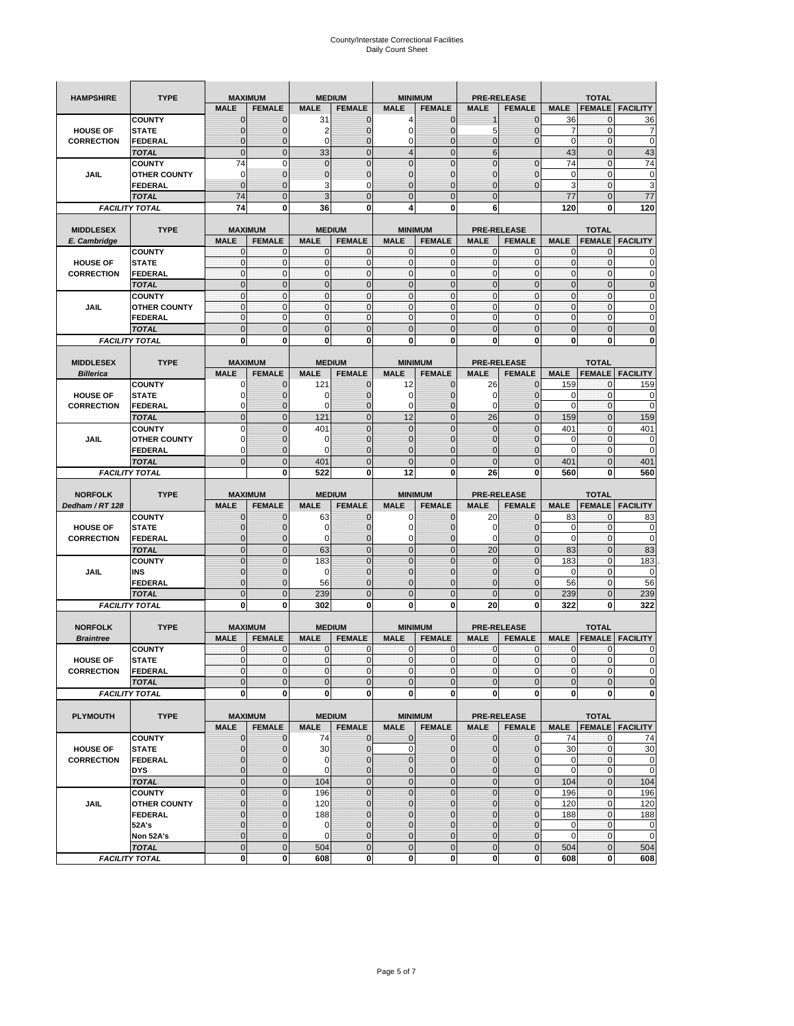| <b>HAMPSHIRE</b>                     | <b>TYPE</b>                           | <b>MAXIMUM</b>                |                              | <b>MEDIUM</b>               |                              | <b>MINIMUM</b>                |                               | <b>PRE-RELEASE</b>                |                                 | <b>TOTAL</b>               |                               |                            |  |
|--------------------------------------|---------------------------------------|-------------------------------|------------------------------|-----------------------------|------------------------------|-------------------------------|-------------------------------|-----------------------------------|---------------------------------|----------------------------|-------------------------------|----------------------------|--|
|                                      |                                       | <b>MALE</b>                   | <b>FEMALE</b>                | <b>MALE</b>                 | <b>FEMALE</b>                | <b>MALE</b>                   | <b>FEMALE</b>                 | <b>MALE</b>                       | <b>FEMALE</b>                   | <b>MALE</b>                | <b>FEMALE</b>                 | <b>FACILITY</b>            |  |
|                                      | <b>COUNTY</b>                         | $\mathbf 0$                   | $\overline{0}$               | 31                          | $\mathbf 0$                  | 4                             | $\mathbf{0}$                  |                                   | $\overline{0}$                  | 36                         | 0                             | 36                         |  |
| <b>HOUSE OF</b>                      | <b>STATE</b>                          | ∩                             | 0                            | 2                           | $\mathbf{0}$                 | 0                             | $\mathbf 0$                   | 5                                 | 0                               | 7                          | $\mathbf 0$                   | 7                          |  |
| <b>CORRECTION</b>                    | <b>FEDERAL</b>                        | $\mathbf{0}$                  | 0                            | $\mathbf 0$                 | $\mathbf{0}$                 | 0                             | $\mathbf{0}$                  | $\mathbf{0}$                      | $\overline{0}$                  | $\mathbf 0$                | $\mathbf 0$                   | $\mathbf 0$                |  |
|                                      | <b>TOTAL</b>                          | $\mathbf{0}$                  | $\mathbf 0$                  | 33                          | $\overline{0}$               | $\overline{4}$                | $\overline{0}$                | $6\phantom{1}$                    |                                 | 43                         | $\mathbf 0$                   | 43                         |  |
|                                      | <b>COUNTY</b>                         | 74                            | $\mathbf 0$                  | $\mathbf 0$                 | $\mathbf{0}$                 | $\overline{0}$                | $\overline{0}$                | $\overline{0}$                    | $\mathbf 0$                     | 74                         | $\mathbf 0$                   | 74                         |  |
| JAIL                                 | <b>OTHER COUNTY</b>                   | 0                             | $\overline{0}$               | $\overline{0}$              | $\mathbf{0}$                 | $\overline{0}$                | $\mathbf{0}$                  | 0                                 | $\overline{0}$                  | $\mathbf 0$                | $\mathbf{0}$                  | $\pmb{0}$                  |  |
|                                      | <b>FEDERAL</b>                        | $\mathbf{0}$                  | $\overline{0}$               | 3                           | 0                            | $\overline{0}$                | $\overline{0}$                | $\mathbf{0}$                      | $\overline{0}$                  | 3                          | $\mathbf 0$                   | 3                          |  |
|                                      | <b>TOTAL</b>                          | 74                            | $\overline{0}$               | 3                           | $\mathbf{0}$                 | 0                             | $\overline{0}$                | $\mathbf{0}$                      |                                 | 77                         | $\mathbf 0$                   | 77                         |  |
|                                      | <b>FACILITY TOTAL</b>                 | 74                            | 0                            | 36                          | 0                            | 4                             | 0                             | 6                                 |                                 | 120                        | 0                             | 120                        |  |
|                                      |                                       |                               |                              |                             |                              |                               |                               |                                   |                                 |                            |                               |                            |  |
| <b>MIDDLESEX</b>                     | <b>TYPE</b>                           | <b>MAXIMUM</b>                |                              |                             | <b>MEDIUM</b>                | <b>MINIMUM</b>                |                               |                                   | <b>PRE-RELEASE</b>              |                            | <b>TOTAL</b>                  |                            |  |
| E. Cambridge                         |                                       | <b>MALE</b>                   | <b>FEMALE</b>                | <b>MALE</b>                 | <b>FEMALE</b>                | <b>MALE</b>                   | <b>FEMALE</b>                 | <b>MALE</b>                       | <b>FEMALE</b>                   | <b>MALE</b>                | <b>FEMALE</b>                 | <b>FACILITY</b>            |  |
|                                      | <b>COUNTY</b>                         | 0                             | $\mathbf 0$                  | $\mathbf 0$                 | 0                            | 0                             | $\mathbf{0}$                  | $\mathbf 0$                       | 0                               | 0                          | $\mathbf{0}$                  | 0                          |  |
| <b>HOUSE OF</b>                      | <b>STATE</b>                          | $\pmb{0}$<br>$\mathbf{0}$     | $\mathbf{0}$<br>$\mathbf{0}$ | $\mathbf 0$<br>$\mathbf 0$  | $\bf{0}$<br>$\mathbf{0}$     | 0<br>$\mathbf{0}$             | $\mathbf{0}$<br>$\mathbf{0}$  | $\mathbf 0$                       | 0<br>$\mathbf 0$                | $\mathbf 0$<br>$\mathbf 0$ | $\mathbf 0$                   | $\mathbf 0$                |  |
| <b>CORRECTION</b>                    | <b>FEDERAL</b>                        |                               |                              |                             |                              |                               |                               | $\mathbf{0}$                      |                                 |                            | $\mathbf 0$                   | $\pmb{0}$                  |  |
|                                      | <b>TOTAL</b>                          | $\mathbf{0}$                  | $\overline{0}$               | $\overline{0}$              | $\mathbf{0}$                 | $\overline{0}$                | $\mathbf{0}$                  | $\mathbf{0}$                      | $\overline{0}$                  | $\overline{0}$             | $\overline{0}$                | $\pmb{0}$                  |  |
|                                      | <b>COUNTY</b>                         | $\mathbf{0}$                  | $\mathbf{0}$                 | $\mathbf 0$                 | $\mathbf{O}$                 | $\mathbf{0}$                  | $\mathbf{0}$                  | $\mathbf{O}$                      | $\overline{0}$                  | $\mathbf 0$                | $\mathbf{0}$                  | $\pmb{0}$                  |  |
| JAIL                                 | <b>OTHER COUNTY</b>                   | $\Omega$<br>$\mathbf{0}$      | $\mathbf 0$<br>$\mathbf 0$   | $\mathbf{0}$<br>$\mathbf 0$ | $\Omega$<br>$\mathbf{O}$     | $\mathbf{0}$<br>0             | $\mathbf{0}$<br>$\mathbf{0}$  | $\mathbf{0}$<br>$\mathbf{O}$      | $\overline{0}$                  | $\mathbf 0$<br>$\mathbf 0$ | $\mathbf{0}$                  | $\mathbf 0$<br>$\mathbf 0$ |  |
|                                      | <b>FEDERAL</b>                        |                               |                              |                             |                              |                               |                               |                                   | 0                               |                            | $\mathbf 0$                   |                            |  |
|                                      | <b>TOTAL</b>                          | $\mathbf 0$                   | $\overline{0}$               | $\overline{0}$              | $\mathbf{0}$                 | $\mathbf 0$                   | $\mathbf 0$                   | $\mathbf{0}$                      | $\overline{0}$                  | $\mathbf 0$                | $\overline{0}$                | $\mathbf 0$                |  |
|                                      | <b>FACILITY TOTAL</b>                 | 0                             | $\bf{0}$                     | 0                           | 0                            | 0                             | 0                             | 0                                 | 0                               | 0                          | 0                             | $\bf{0}$                   |  |
| <b>MIDDLESEX</b>                     |                                       | <b>MAXIMUM</b>                |                              |                             | <b>MEDIUM</b>                |                               |                               |                                   |                                 |                            |                               |                            |  |
|                                      | <b>TYPE</b>                           | <b>MALE</b>                   | <b>FEMALE</b>                | <b>MALE</b>                 | <b>FEMALE</b>                | <b>MINIMUM</b><br><b>MALE</b> | <b>FEMALE</b>                 | <b>PRE-RELEASE</b><br><b>MALE</b> |                                 |                            | <b>TOTAL</b>                  |                            |  |
| <b>Billerica</b>                     |                                       |                               |                              |                             |                              |                               |                               |                                   | <b>FEMALE</b>                   | <b>MALE</b>                | <b>FEMALE</b>                 | <b>FACILITY</b>            |  |
|                                      | <b>COUNTY</b>                         | 0                             | $\overline{0}$               | 121                         | $\mathbf 0$                  | 12                            | $\mathbf 0$                   | 26                                | $\overline{0}$                  | 159                        | $\mathbf{0}$                  | 159                        |  |
| <b>HOUSE OF</b>                      | <b>STATE</b>                          |                               | $\overline{0}$               | 0                           | $\mathbf 0$                  | 0                             | $\overline{0}$                | 0                                 | $\overline{0}$                  | 0<br>$\overline{0}$        | $\mathbf{0}$                  | 0<br>$\mathbf 0$           |  |
| <b>CORRECTION</b>                    | FEDERAL                               | $\Omega$                      | 0                            | 0                           | $\mathbf{0}$                 | 0                             | $\mathbf{0}$                  | $\mathbf 0$                       | 0                               |                            | $\mathbf 0$                   |                            |  |
|                                      | <b>TOTAL</b>                          | $\mathbf{0}$                  | $\overline{0}$               | 121                         | $\mathbf{0}$                 | 12                            | $\mathbf{0}$                  | 26                                | $\overline{0}$                  | 159                        | $\overline{0}$                | 159                        |  |
|                                      | <b>COUNTY</b>                         | $\Omega$                      | $\overline{0}$               | 401                         | $\mathbf 0$                  | $\overline{0}$                | $\Omega$                      | $\mathbf{0}$                      | $\overline{0}$                  | 401                        | $\mathbf{0}$                  | 401                        |  |
| JAIL                                 | <b>OTHER COUNTY</b>                   | $\Omega$                      | 0                            | 0                           | $\overline{0}$               | 0                             | $\mathbf{0}$                  | $\overline{0}$                    | 0                               | 0                          | $\mathbf{0}$                  | $\mathbf 0$                |  |
|                                      | <b>FEDERAL</b>                        | 0                             | $\overline{0}$               | $\mathbf 0$                 | 0                            | $\overline{0}$                | $\overline{0}$                | 0                                 | $\overline{0}$                  | $\overline{0}$             | $\mathbf{0}$                  | $\mathbf 0$                |  |
|                                      | <b>TOTAL</b>                          | $\Omega$                      | $\mathbf 0$                  | 401                         | $\mathbf{0}$                 | $\mathbf 0$                   | $\mathbf 0$                   | $\mathbf{0}$                      | $\overline{0}$                  | 401                        | $\mathbf 0$                   | 401                        |  |
|                                      | <b>FACILITY TOTAL</b>                 |                               | $\mathbf 0$                  | 522                         | $\bf{0}$                     | 12                            | 0                             | 26                                | 0                               | 560                        | $\bf{0}$                      | 560                        |  |
|                                      |                                       |                               |                              |                             |                              |                               |                               |                                   |                                 |                            |                               |                            |  |
|                                      |                                       |                               |                              |                             |                              |                               |                               |                                   |                                 |                            |                               |                            |  |
| <b>NORFOLK</b>                       | <b>TYPE</b>                           | <b>MAXIMUM</b>                |                              |                             | <b>MEDIUM</b>                | <b>MINIMUM</b>                |                               |                                   | <b>PRE-RELEASE</b>              |                            | <b>TOTAL</b>                  |                            |  |
| Dedham / RT 128                      |                                       | <b>MALE</b>                   | <b>FEMALE</b>                | <b>MALE</b>                 | <b>FEMALE</b>                | <b>MALE</b>                   | <b>FEMALE</b>                 | <b>MALE</b>                       | <b>FEMALE</b>                   | <b>MALE</b>                | <b>FEMALE</b>                 | <b>FACILITY</b>            |  |
|                                      | <b>COUNTY</b>                         | $\Omega$                      | 0                            | 63                          | 0                            | 0                             | $\mathbf 0$                   | 20                                | $\overline{0}$                  | 83                         | 0                             | 83                         |  |
| <b>HOUSE OF</b>                      | <b>STATE</b>                          | $\Omega$                      | $\overline{0}$               | $\mathbf 0$                 | $\mathbf{0}$                 | 0                             | $\overline{0}$                | 0                                 | $\overline{0}$                  | 0                          | 0                             | $\mathbf 0$                |  |
| <b>CORRECTION</b>                    | <b>FEDERAL</b>                        | $\Omega$                      | 0                            | 0                           | $\mathbf{0}$                 | 0                             | $\mathbf 0$                   | 0                                 | 0                               | $\mathbf 0$                | $\mathbf 0$                   | $\mathbf 0$                |  |
|                                      | <b>TOTAL</b>                          | $\Omega$                      | $\overline{0}$               | 63                          | $\mathbf{0}$                 | $\mathbf 0$                   | $\mathbf 0$                   | 20                                | $\overline{0}$                  | 83                         | $\mathbf 0$                   | 83                         |  |
|                                      | <b>COUNTY</b>                         | $\overline{0}$                | $\overline{0}$               | 183                         | $\mathbf{0}$                 | $\overline{0}$                | $\overline{0}$                | 0                                 | $\overline{0}$                  | 183                        | $\mathbf 0$                   | 183                        |  |
| JAIL                                 | INS                                   | $\mathbf{0}$                  | 0                            | 0                           | $\overline{0}$               | 0                             | $\mathbf{0}$                  | $\overline{0}$                    | 0                               | 0                          | 0                             | 0                          |  |
|                                      | <b>FEDERAL</b>                        | $\Omega$                      | $\overline{0}$               | 56                          | $\mathbf 0$                  | $\overline{0}$                | $\overline{0}$                | 0                                 | $\overline{0}$                  | 56                         | $\mathbf{0}$                  | 56                         |  |
|                                      | <b>TOTAL</b>                          | $\mathbf{0}$                  | $\overline{0}$               | 239                         | $\mathbf{0}$                 | $\overline{0}$                | $\overline{0}$                | $\Omega$                          | $\overline{0}$                  | 239                        | $\overline{0}$                | 239                        |  |
|                                      | <b>FACILITY TOTAL</b>                 | $\mathbf 0$                   | $\mathbf 0$                  | 302                         | 0                            | 0                             | 0                             | 20                                | 0                               | 322                        | $\bf{0}$                      | 322                        |  |
|                                      |                                       |                               |                              |                             |                              |                               |                               |                                   |                                 |                            |                               |                            |  |
| <b>NORFOLK</b>                       | <b>TYPE</b>                           | <b>MAXIMUM</b><br><b>MALE</b> |                              |                             | <b>MEDIUM</b>                | <b>MINIMUM</b>                |                               |                                   | <b>PRE-RELEASE</b>              |                            | <b>TOTAL</b><br><b>FEMALE</b> |                            |  |
| <b>Braintree</b>                     |                                       |                               | <b>FEMALE</b><br>$\mathbf 0$ | <b>MALE</b>                 | <b>FEMALE</b><br>$\mathbf 0$ | <b>MALE</b>                   | <b>FEMALE</b><br>$\mathbf{0}$ | <b>MALE</b>                       | <b>FEMALE</b><br>$\mathbf 0$    | <b>MALE</b>                | 0                             | <b>FACILITY</b>            |  |
|                                      | <b>COUNTY</b><br><b>STATE</b>         | $\mathbf 0$<br>$\mathbf{0}$   | $\overline{0}$               | 0<br>$\mathbf 0$            | $\overline{0}$               | 0<br>$\overline{0}$           | $\mathbf{0}$                  | $\mathbf 0$<br>$\overline{0}$     | $\mathbf{0}$                    | 0<br>$\mathbf{0}$          | 0                             | 0<br>$\Omega$              |  |
| <b>HOUSE OF</b><br><b>CORRECTION</b> | FEDERAL                               | $\mathbf 0$                   | 0                            | 0                           | $\mathbf 0$                  | $\mathbf 0$                   | 0                             | $\mathbf 0$                       | $\mathbf 0$                     | $\pmb{0}$                  | 0                             | $\mathbf 0$                |  |
|                                      |                                       | $\mathbf{0}$                  | $\mathbf{0}$                 | $\mathbf 0$                 | $\mathbf{0}$                 | $\mathbf 0$                   | $\pmb{0}$                     | $\mathbf{0}$                      | $\mathbf 0$                     | $\mathbf 0$                | $\mathbf 0$                   | $\mathbf 0$                |  |
|                                      | <b>TOTAL</b>                          | $\mathbf{0}$                  | $\mathbf{0}$                 | 0                           | $\mathbf{0}$                 | $\mathbf{0}$                  | $\bf{0}$                      | $\mathbf 0$                       | $\mathbf{0}$                    | $\mathbf 0$                | 0                             | $\mathbf 0$                |  |
|                                      | <b>FACILITY TOTAL</b>                 |                               |                              |                             |                              |                               |                               |                                   |                                 |                            |                               |                            |  |
| <b>PLYMOUTH</b>                      | <b>TYPE</b>                           |                               | <b>MAXIMUM</b>               |                             | <b>MEDIUM</b>                |                               | <b>MINIMUM</b>                |                                   | <b>PRE-RELEASE</b>              |                            |                               |                            |  |
|                                      |                                       | <b>MALE</b>                   |                              | <b>MALE</b>                 | <b>FEMALE</b>                | <b>MALE</b>                   | <b>FEMALE</b>                 | <b>MALE</b>                       |                                 |                            | <b>TOTAL</b>                  |                            |  |
|                                      |                                       |                               | <b>FEMALE</b>                |                             | $\mathbf{0}$                 |                               |                               |                                   | <b>FEMALE</b><br>$\overline{0}$ | <b>MALE</b><br>74          |                               | <b>FEMALE FACILITY</b>     |  |
| <b>HOUSE OF</b>                      | <b>COUNTY</b><br><b>STATE</b>         | $\mathbf{0}$<br>$\mathbf{0}$  | $\mathbf{0}$<br>0            | 74<br>30                    | $\mathbf{0}$                 | 0<br>0                        | $\mathbf{0}$<br>$\pmb{0}$     | $\mathbf{0}$<br>$\mathbf 0$       | $\overline{0}$                  | 30                         | 0<br>$\mathbf{0}$             | 74                         |  |
|                                      | <b>FEDERAL</b>                        | $\Omega$                      | 0                            | 0                           | $\mathbf{0}$                 |                               | $\pmb{0}$                     | $\mathbf{0}$                      | 0                               | 0                          | $\mathbf{0}$                  | 30                         |  |
| <b>CORRECTION</b>                    | <b>DYS</b>                            | $\mathbf{0}$                  | 0                            | $\mathbf 0$                 | $\mathbf 0$                  | 0<br>0                        | $\pmb{0}$                     | $\mathbf 0$                       | $\overline{0}$                  | $\mathbf 0$                | $\mathbf 0$                   | $\mathbf 0$<br>$\mathbf 0$ |  |
|                                      | <b>TOTAL</b>                          | $\mathbf 0$                   | $\mathbf 0$                  | 104                         | $\mathbf 0$                  | $\mathbf 0$                   | $\mathbf 0$                   | $\mathbf 0$                       | $\mathbf 0$                     | 104                        | $\mathbf 0$                   | 104                        |  |
|                                      | <b>COUNTY</b>                         | $\overline{0}$                |                              |                             |                              |                               |                               |                                   |                                 |                            | $\mathbf{0}$                  |                            |  |
|                                      |                                       | $\mathbf{0}$                  | 0<br>0                       | 196                         | $\pmb{0}$<br>$\overline{0}$  | $\mathbf 0$                   | $\mathbf 0$<br>$\mathbf{0}$   | $\pmb{0}$                         | $\mathbf 0$<br>$\overline{0}$   | 196                        | $\mathbf{0}$                  | 196                        |  |
| JAIL                                 | <b>OTHER COUNTY</b><br><b>FEDERAL</b> | $\Omega$                      |                              | 120                         | $\mathbf 0$                  | 0<br>0                        | $\mathbf 0$                   | 0<br>0                            | 0                               | 120<br>188                 | $\mathbf 0$                   | 120                        |  |
|                                      | 52A's                                 | $\Omega$                      | 0<br>$\overline{0}$          | 188<br>$\mathbf 0$          | $\overline{0}$               | $\overline{0}$                | $\mathbf 0$                   | $\overline{0}$                    | $\overline{0}$                  | $\mathbf 0$                | $\mathbf{0}$                  | 188                        |  |
|                                      | Non 52A's                             | $\mathbf{0}$                  | 0                            | 0                           | $\mathbf{0}$                 | 0                             | $\mathbf 0$                   | $\mathbf 0$                       | 0                               | 0                          | $\mathbf 0$                   | $\mathbf 0$<br>$\mathbf 0$ |  |
|                                      | <b>TOTAL</b>                          | $\overline{0}$                | $\overline{0}$               | 504                         | $\overline{0}$               | $\overline{0}$                | $\mathbf{0}$                  | $\mathbf{0}$                      | $\mathbf 0$                     | 504                        | $\mathbf 0$                   | 504                        |  |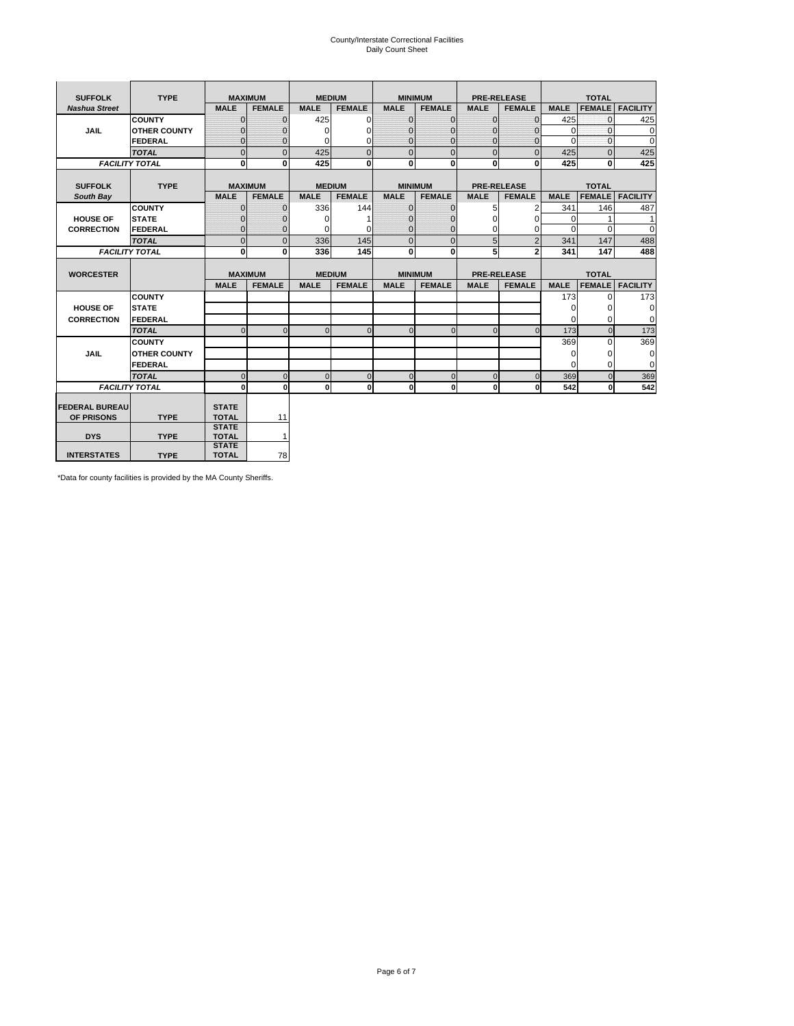# County/Interstate Correctional Facilities Daily Count Sheet

| <b>SUFFOLK</b>        | <b>TYPE</b>           |                              | <b>MAXIMUM</b> |               | <b>MEDIUM</b>  |              | <b>MINIMUM</b> |              | <b>PRE-RELEASE</b> |             | <b>TOTAL</b>  |                 |
|-----------------------|-----------------------|------------------------------|----------------|---------------|----------------|--------------|----------------|--------------|--------------------|-------------|---------------|-----------------|
| <b>Nashua Street</b>  |                       | <b>MALE</b>                  | <b>FEMALE</b>  | <b>MALE</b>   | <b>FEMALE</b>  | <b>MALE</b>  | <b>FEMALE</b>  | <b>MALE</b>  | <b>FEMALE</b>      | <b>MALE</b> | <b>FEMALE</b> | <b>FACILITY</b> |
|                       | <b>COUNTY</b>         | $\Omega$                     | $\mathbf{0}$   | 425           | $\Omega$       | $\mathbf{0}$ | $\Omega$       | $\Omega$     | $\Omega$           | 425         | $\Omega$      | 425             |
| <b>JAIL</b>           | <b>OTHER COUNTY</b>   | $\Omega$                     | 0              | $\Omega$      | 0              | $\mathbf{0}$ | $\Omega$       | $\mathbf 0$  | $\Omega$           | $\Omega$    | $\Omega$      | $\mathbf 0$     |
|                       | <b>FEDERAL</b>        | $\Omega$                     | $\Omega$       | $\Omega$      | $\Omega$       | $\mathbf{0}$ | $\Omega$       | $\Omega$     | $\Omega$           | $\Omega$    | $\Omega$      | $\Omega$        |
|                       | <b>TOTAL</b>          | $\Omega$                     | $\mathbf 0$    | 425           | $\overline{0}$ | $\mathbf{0}$ | $\mathbf{0}$   | $\mathbf{0}$ | $\Omega$           | 425         | $\Omega$      | 425             |
|                       | <b>FACILITY TOTAL</b> | 0                            | 0              | 425           | $\bf{0}$       | <sub>0</sub> | 0              | $\mathbf{0}$ | 0                  | 425         | 0             | 425             |
|                       |                       |                              |                |               |                |              |                |              |                    |             |               |                 |
| <b>SUFFOLK</b>        | <b>TYPE</b>           | <b>MAXIMUM</b>               |                | <b>MEDIUM</b> |                |              | <b>MINIMUM</b> |              | <b>PRE-RELEASE</b> |             | <b>TOTAL</b>  |                 |
| South Bay             |                       | <b>MALE</b>                  | <b>FEMALE</b>  | <b>MALE</b>   | <b>FEMALE</b>  | <b>MALE</b>  | <b>FEMALE</b>  | <b>MALE</b>  | <b>FEMALE</b>      | <b>MALE</b> | <b>FEMALE</b> | <b>FACILITY</b> |
|                       | <b>COUNTY</b>         | $\Omega$                     | $\mathbf{0}$   | 336           | 144            | $\mathbf{0}$ | $\mathbf{0}$   | 5            | 2                  | 341         | 146           | 487             |
| <b>HOUSE OF</b>       | <b>STATE</b>          |                              | $\mathbf{0}$   | $\Omega$      |                | $\Omega$     | O              | $\Omega$     | $\Omega$           | $\Omega$    |               | 1               |
| <b>CORRECTION</b>     | <b>FEDERAL</b>        | $\Omega$                     | $\mathbf{0}$   | $\Omega$      | $\Omega$       | $\mathbf{0}$ | $\mathbf{0}$   | $\Omega$     | 0                  | $\Omega$    | $\Omega$      | $\Omega$        |
|                       | <b>TOTAL</b>          | $\Omega$                     | $\overline{0}$ | 336           | 145            | $\mathbf 0$  | $\mathbf{0}$   | 5            | $\overline{2}$     | 341         | 147           | 488             |
|                       | <b>FACILITY TOTAL</b> | 0                            | 0              | 336           | 145            | <sub>0</sub> | $\bf{0}$       | 5            | $\overline{2}$     | 341         | 147           | 488             |
|                       |                       |                              |                |               |                |              |                |              |                    |             |               |                 |
| <b>WORCESTER</b>      |                       |                              | <b>MAXIMUM</b> |               | <b>MEDIUM</b>  |              | <b>MINIMUM</b> |              | <b>PRE-RELEASE</b> |             | <b>TOTAL</b>  |                 |
|                       |                       | <b>MALE</b>                  | <b>FEMALE</b>  | <b>MALE</b>   | <b>FEMALE</b>  | <b>MALE</b>  | <b>FEMALE</b>  | <b>MALE</b>  | <b>FEMALE</b>      | <b>MALE</b> | <b>FEMALE</b> | <b>FACILITY</b> |
|                       | <b>COUNTY</b>         |                              |                |               |                |              |                |              |                    | 173         | $\Omega$      | 173             |
| <b>HOUSE OF</b>       | <b>STATE</b>          |                              |                |               |                |              |                |              |                    | 0           | 0             | 0               |
| <b>CORRECTION</b>     | <b>FEDERAL</b>        |                              |                |               |                |              |                |              |                    | $\Omega$    | $\Omega$      | $\Omega$        |
|                       | <b>TOTAL</b>          | U                            | $\Omega$       | $\Omega$      | $\mathbf 0$    | $\Omega$     | $\Omega$       | $\Omega$     | $\Omega$           | 173         | $\Omega$      | 173             |
|                       | <b>COUNTY</b>         |                              |                |               |                |              |                |              |                    | 369         | $\Omega$      | 369             |
| <b>JAIL</b>           | <b>OTHER COUNTY</b>   |                              |                |               |                |              |                |              |                    | 0           | 0             | 0               |
|                       | FEDERAL               |                              |                |               |                |              |                |              |                    | $\Omega$    | $\Omega$      | $\Omega$        |
|                       | <b>TOTAL</b>          | $\cap$                       | $\Omega$       | $\Omega$      | $\mathbf{0}$   | $\mathbf{0}$ | $\mathbf{0}$   | $\mathbf 0$  | $\Omega$           | 369         | $\Omega$      | 369             |
|                       | <b>FACILITY TOTAL</b> | $\Omega$                     | $\mathbf 0$    | $\Omega$      | 0              | 0            | $\mathbf{0}$   | $\mathbf 0$  | 0                  | 542         | O             | 542             |
|                       |                       |                              |                |               |                |              |                |              |                    |             |               |                 |
| <b>FEDERAL BUREAU</b> |                       | <b>STATE</b>                 |                |               |                |              |                |              |                    |             |               |                 |
| OF PRISONS            | <b>TYPE</b>           | <b>TOTAL</b><br><b>STATE</b> | 11             |               |                |              |                |              |                    |             |               |                 |
| <b>DYS</b>            | <b>TYPE</b>           | <b>TOTAL</b>                 | $\mathbf{1}$   |               |                |              |                |              |                    |             |               |                 |
|                       |                       | <b>STATE</b>                 |                |               |                |              |                |              |                    |             |               |                 |
| <b>INTERSTATES</b>    | <b>TYPE</b>           | <b>TOTAL</b>                 | 78             |               |                |              |                |              |                    |             |               |                 |

\*Data for county facilities is provided by the MA County Sheriffs.